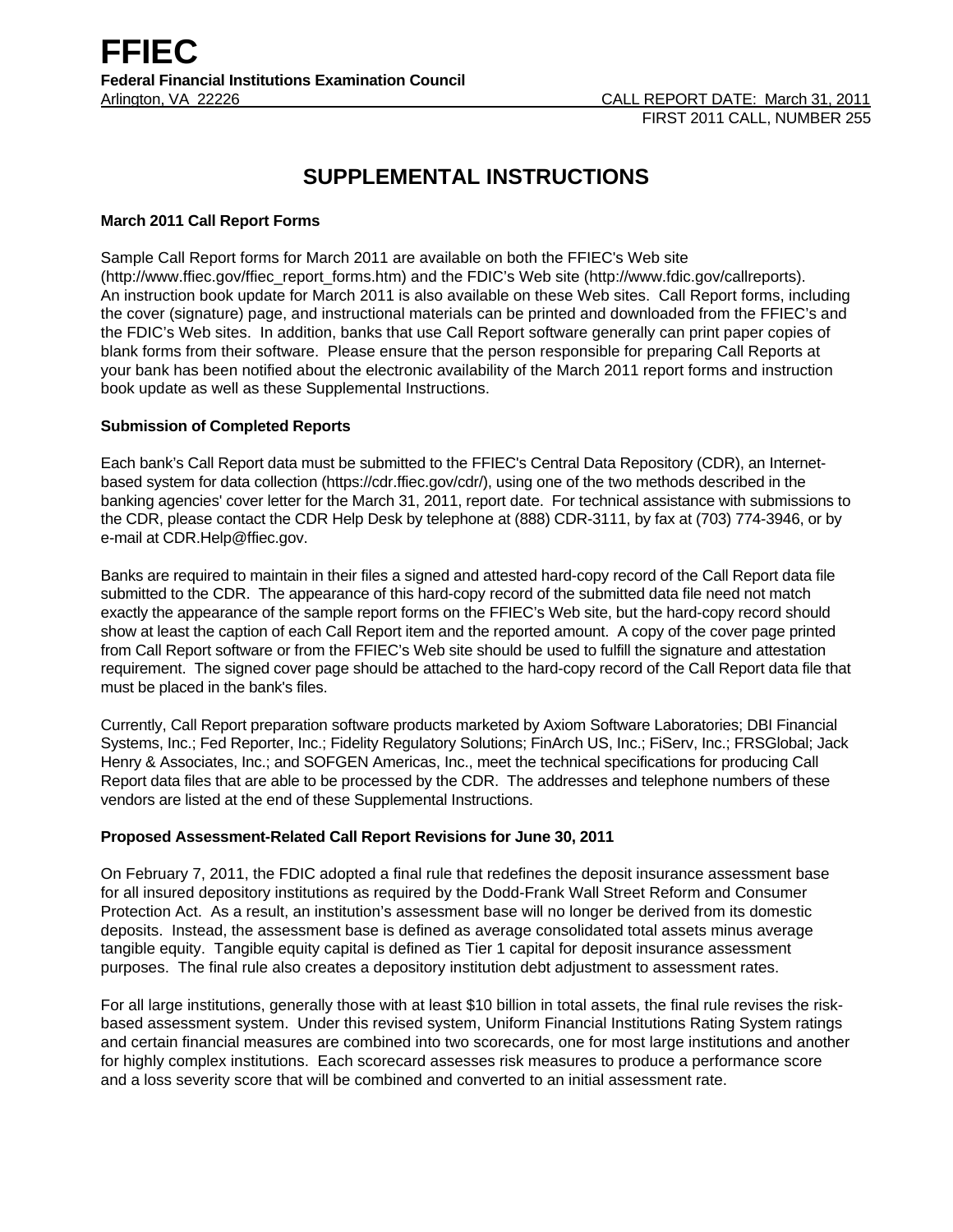# **SUPPLEMENTAL INSTRUCTIONS**

# **March 2011 Call Report Forms**

Sample Call Report forms for March 2011 are available on both the FFIEC's Web site (http://www.ffiec.gov/ffiec\_report\_forms.htm) and the FDIC's Web site (http://www.fdic.gov/callreports). An instruction book update for March 2011 is also available on these Web sites. Call Report forms, including the cover (signature) page, and instructional materials can be printed and downloaded from the FFIEC's and the FDIC's Web sites. In addition, banks that use Call Report software generally can print paper copies of blank forms from their software. Please ensure that the person responsible for preparing Call Reports at your bank has been notified about the electronic availability of the March 2011 report forms and instruction book update as well as these Supplemental Instructions.

## **Submission of Completed Reports**

Each bank's Call Report data must be submitted to the FFIEC's Central Data Repository (CDR), an Internetbased system for data collection (https://cdr.ffiec.gov/cdr/), using one of the two methods described in the banking agencies' cover letter for the March 31, 2011, report date. For technical assistance with submissions to the CDR, please contact the CDR Help Desk by telephone at (888) CDR-3111, by fax at (703) 774-3946, or by e-mail at CDR.Help@ffiec.gov.

Banks are required to maintain in their files a signed and attested hard-copy record of the Call Report data file submitted to the CDR. The appearance of this hard-copy record of the submitted data file need not match exactly the appearance of the sample report forms on the FFIEC's Web site, but the hard-copy record should show at least the caption of each Call Report item and the reported amount. A copy of the cover page printed from Call Report software or from the FFIEC's Web site should be used to fulfill the signature and attestation requirement. The signed cover page should be attached to the hard-copy record of the Call Report data file that must be placed in the bank's files.

Currently, Call Report preparation software products marketed by Axiom Software Laboratories; DBI Financial Systems, Inc.; Fed Reporter, Inc.; Fidelity Regulatory Solutions; FinArch US, Inc.; FiServ, Inc.; FRSGlobal; Jack Henry & Associates, Inc.; and SOFGEN Americas, Inc., meet the technical specifications for producing Call Report data files that are able to be processed by the CDR. The addresses and telephone numbers of these vendors are listed at the end of these Supplemental Instructions.

#### **Proposed Assessment-Related Call Report Revisions for June 30, 2011**

On February 7, 2011, the FDIC adopted a final rule that redefines the deposit insurance assessment base for all insured depository institutions as required by the Dodd-Frank Wall Street Reform and Consumer Protection Act. As a result, an institution's assessment base will no longer be derived from its domestic deposits. Instead, the assessment base is defined as average consolidated total assets minus average tangible equity. Tangible equity capital is defined as Tier 1 capital for deposit insurance assessment purposes. The final rule also creates a depository institution debt adjustment to assessment rates.

For all large institutions, generally those with at least \$10 billion in total assets, the final rule revises the riskbased assessment system. Under this revised system, Uniform Financial Institutions Rating System ratings and certain financial measures are combined into two scorecards, one for most large institutions and another for highly complex institutions. Each scorecard assesses risk measures to produce a performance score and a loss severity score that will be combined and converted to an initial assessment rate.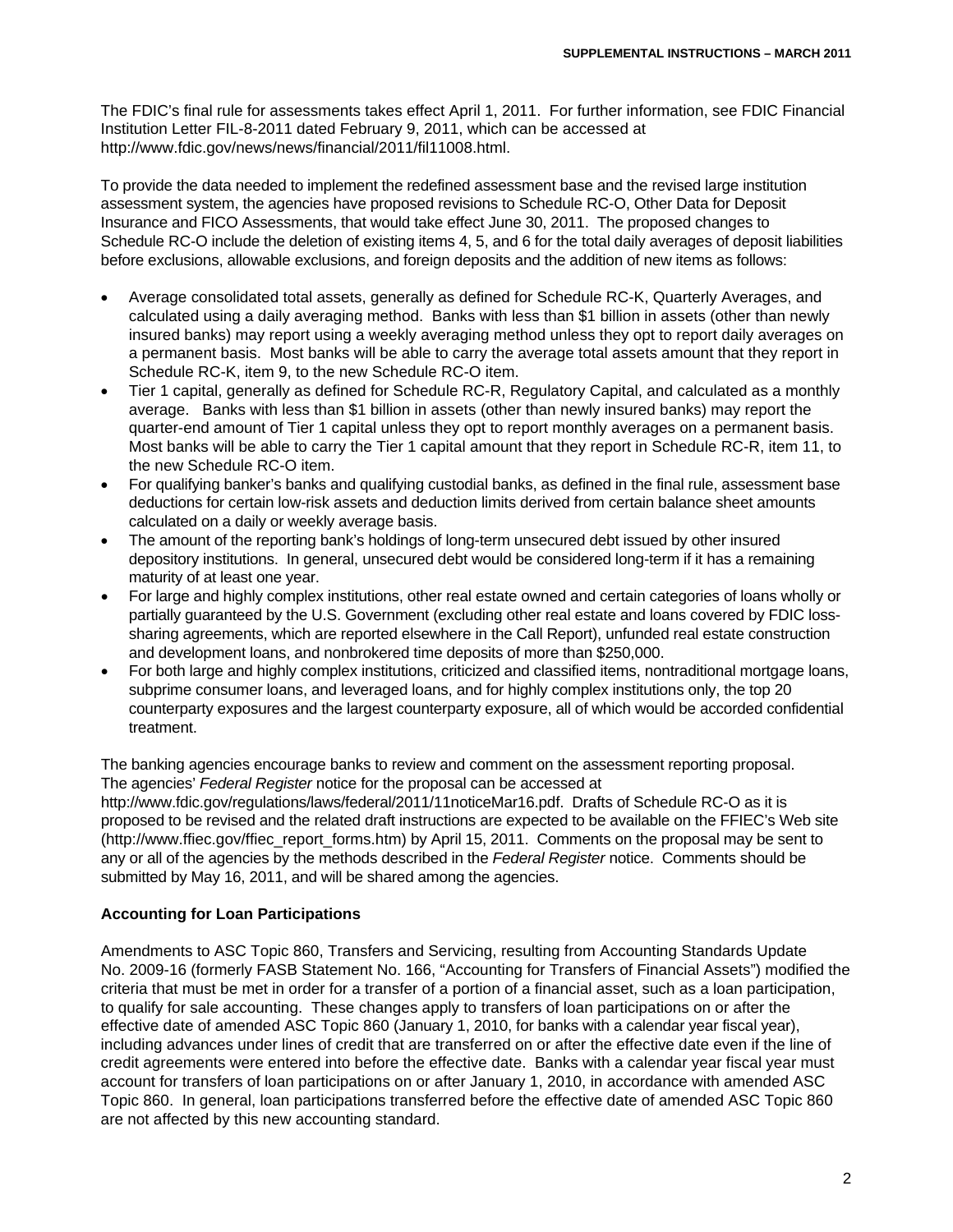The FDIC's final rule for assessments takes effect April 1, 2011. For further information, see FDIC Financial Institution Letter FIL-8-2011 dated February 9, 2011, which can be accessed at http://www.fdic.gov/news/news/financial/2011/fil11008.html.

To provide the data needed to implement the redefined assessment base and the revised large institution assessment system, the agencies have proposed revisions to Schedule RC-O, Other Data for Deposit Insurance and FICO Assessments, that would take effect June 30, 2011. The proposed changes to Schedule RC-O include the deletion of existing items 4, 5, and 6 for the total daily averages of deposit liabilities before exclusions, allowable exclusions, and foreign deposits and the addition of new items as follows:

- Average consolidated total assets, generally as defined for Schedule RC-K, Quarterly Averages, and calculated using a daily averaging method. Banks with less than \$1 billion in assets (other than newly insured banks) may report using a weekly averaging method unless they opt to report daily averages on a permanent basis. Most banks will be able to carry the average total assets amount that they report in Schedule RC-K, item 9, to the new Schedule RC-O item.
- Tier 1 capital, generally as defined for Schedule RC-R, Regulatory Capital, and calculated as a monthly average. Banks with less than \$1 billion in assets (other than newly insured banks) may report the quarter-end amount of Tier 1 capital unless they opt to report monthly averages on a permanent basis. Most banks will be able to carry the Tier 1 capital amount that they report in Schedule RC-R, item 11, to the new Schedule RC-O item.
- For qualifying banker's banks and qualifying custodial banks, as defined in the final rule, assessment base deductions for certain low-risk assets and deduction limits derived from certain balance sheet amounts calculated on a daily or weekly average basis.
- The amount of the reporting bank's holdings of long-term unsecured debt issued by other insured depository institutions. In general, unsecured debt would be considered long-term if it has a remaining maturity of at least one year.
- For large and highly complex institutions, other real estate owned and certain categories of loans wholly or partially guaranteed by the U.S. Government (excluding other real estate and loans covered by FDIC losssharing agreements, which are reported elsewhere in the Call Report), unfunded real estate construction and development loans, and nonbrokered time deposits of more than \$250,000.
- For both large and highly complex institutions, criticized and classified items, nontraditional mortgage loans, subprime consumer loans, and leveraged loans, and for highly complex institutions only, the top 20 counterparty exposures and the largest counterparty exposure, all of which would be accorded confidential treatment.

The banking agencies encourage banks to review and comment on the assessment reporting proposal. The agencies' *Federal Register* notice for the proposal can be accessed at http://www.fdic.gov/regulations/laws/federal/2011/11noticeMar16.pdf. Drafts of Schedule RC-O as it is proposed to be revised and the related draft instructions are expected to be available on the FFIEC's Web site (http://www.ffiec.gov/ffiec\_report\_forms.htm) by April 15, 2011. Comments on the proposal may be sent to any or all of the agencies by the methods described in the *Federal Register* notice. Comments should be submitted by May 16, 2011, and will be shared among the agencies.

# **Accounting for Loan Participations**

Amendments to ASC Topic 860, Transfers and Servicing, resulting from Accounting Standards Update No. 2009-16 (formerly FASB Statement No. 166, "Accounting for Transfers of Financial Assets") modified the criteria that must be met in order for a transfer of a portion of a financial asset, such as a loan participation, to qualify for sale accounting. These changes apply to transfers of loan participations on or after the effective date of amended ASC Topic 860 (January 1, 2010, for banks with a calendar year fiscal year), including advances under lines of credit that are transferred on or after the effective date even if the line of credit agreements were entered into before the effective date. Banks with a calendar year fiscal year must account for transfers of loan participations on or after January 1, 2010, in accordance with amended ASC Topic 860. In general, loan participations transferred before the effective date of amended ASC Topic 860 are not affected by this new accounting standard.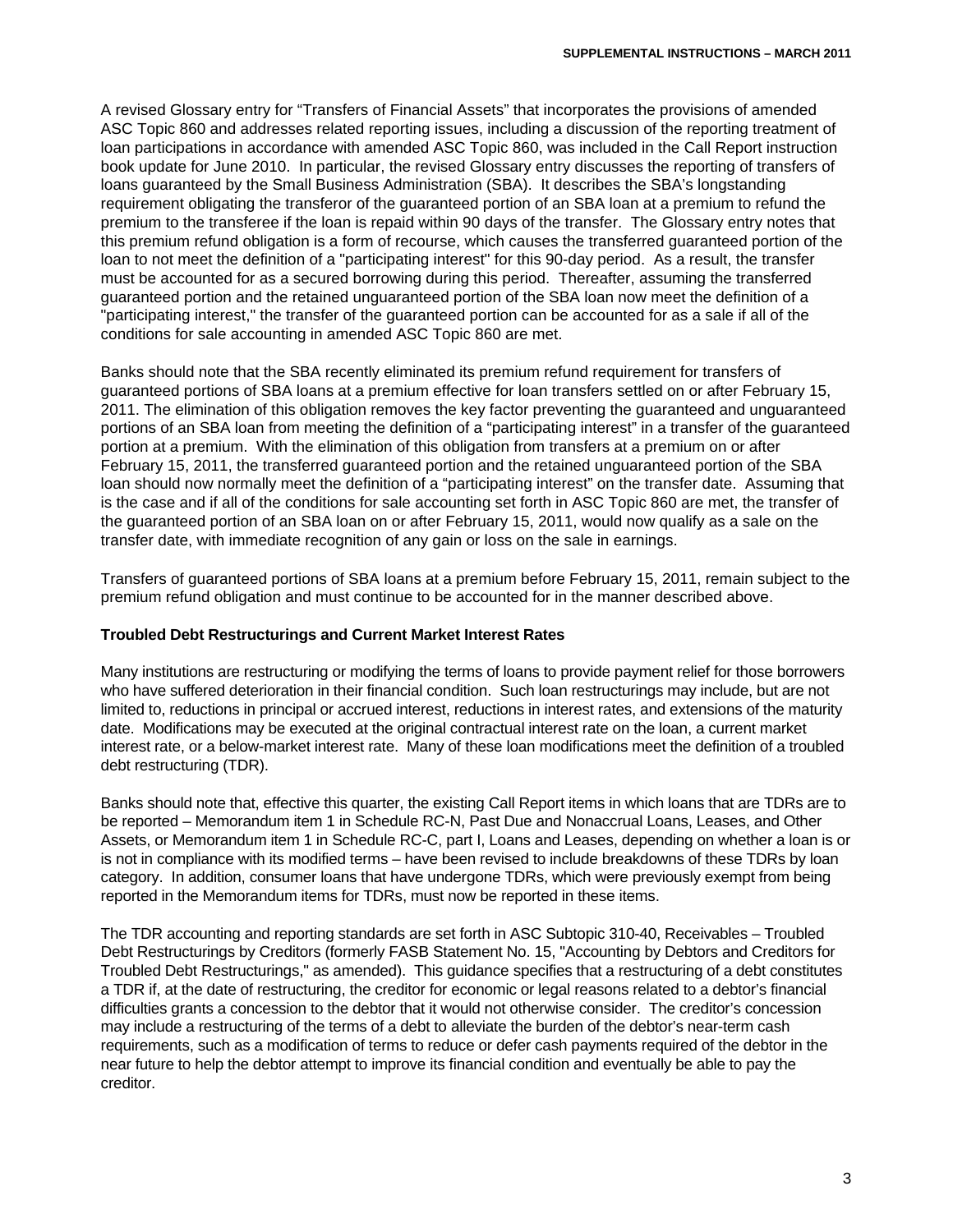A revised Glossary entry for "Transfers of Financial Assets" that incorporates the provisions of amended ASC Topic 860 and addresses related reporting issues, including a discussion of the reporting treatment of loan participations in accordance with amended ASC Topic 860, was included in the Call Report instruction book update for June 2010. In particular, the revised Glossary entry discusses the reporting of transfers of loans guaranteed by the Small Business Administration (SBA). It describes the SBA's longstanding requirement obligating the transferor of the guaranteed portion of an SBA loan at a premium to refund the premium to the transferee if the loan is repaid within 90 days of the transfer. The Glossary entry notes that this premium refund obligation is a form of recourse, which causes the transferred guaranteed portion of the loan to not meet the definition of a "participating interest" for this 90-day period. As a result, the transfer must be accounted for as a secured borrowing during this period. Thereafter, assuming the transferred guaranteed portion and the retained unguaranteed portion of the SBA loan now meet the definition of a "participating interest," the transfer of the guaranteed portion can be accounted for as a sale if all of the conditions for sale accounting in amended ASC Topic 860 are met.

Banks should note that the SBA recently eliminated its premium refund requirement for transfers of guaranteed portions of SBA loans at a premium effective for loan transfers settled on or after February 15, 2011. The elimination of this obligation removes the key factor preventing the guaranteed and unguaranteed portions of an SBA loan from meeting the definition of a "participating interest" in a transfer of the guaranteed portion at a premium. With the elimination of this obligation from transfers at a premium on or after February 15, 2011, the transferred guaranteed portion and the retained unguaranteed portion of the SBA loan should now normally meet the definition of a "participating interest" on the transfer date. Assuming that is the case and if all of the conditions for sale accounting set forth in ASC Topic 860 are met, the transfer of the guaranteed portion of an SBA loan on or after February 15, 2011, would now qualify as a sale on the transfer date, with immediate recognition of any gain or loss on the sale in earnings.

Transfers of guaranteed portions of SBA loans at a premium before February 15, 2011, remain subject to the premium refund obligation and must continue to be accounted for in the manner described above.

#### **Troubled Debt Restructurings and Current Market Interest Rates**

Many institutions are restructuring or modifying the terms of loans to provide payment relief for those borrowers who have suffered deterioration in their financial condition. Such loan restructurings may include, but are not limited to, reductions in principal or accrued interest, reductions in interest rates, and extensions of the maturity date. Modifications may be executed at the original contractual interest rate on the loan, a current market interest rate, or a below-market interest rate. Many of these loan modifications meet the definition of a troubled debt restructuring (TDR).

Banks should note that, effective this quarter, the existing Call Report items in which loans that are TDRs are to be reported – Memorandum item 1 in Schedule RC-N, Past Due and Nonaccrual Loans, Leases, and Other Assets, or Memorandum item 1 in Schedule RC-C, part I, Loans and Leases, depending on whether a loan is or is not in compliance with its modified terms – have been revised to include breakdowns of these TDRs by loan category. In addition, consumer loans that have undergone TDRs, which were previously exempt from being reported in the Memorandum items for TDRs, must now be reported in these items.

The TDR accounting and reporting standards are set forth in ASC Subtopic 310-40, Receivables – Troubled Debt Restructurings by Creditors (formerly FASB Statement No. 15, "Accounting by Debtors and Creditors for Troubled Debt Restructurings," as amended). This guidance specifies that a restructuring of a debt constitutes a TDR if, at the date of restructuring, the creditor for economic or legal reasons related to a debtor's financial difficulties grants a concession to the debtor that it would not otherwise consider. The creditor's concession may include a restructuring of the terms of a debt to alleviate the burden of the debtor's near-term cash requirements, such as a modification of terms to reduce or defer cash payments required of the debtor in the near future to help the debtor attempt to improve its financial condition and eventually be able to pay the creditor.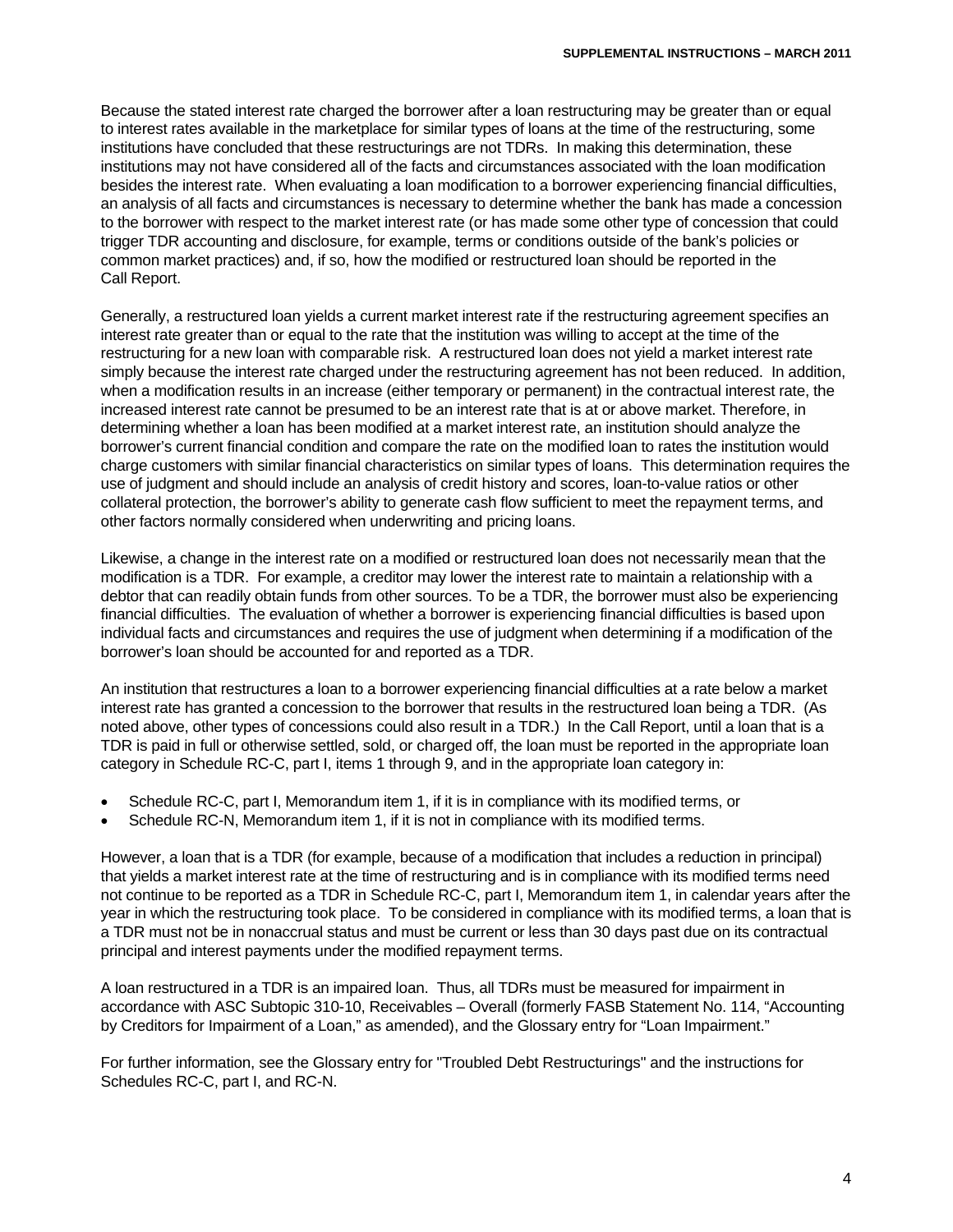Because the stated interest rate charged the borrower after a loan restructuring may be greater than or equal to interest rates available in the marketplace for similar types of loans at the time of the restructuring, some institutions have concluded that these restructurings are not TDRs. In making this determination, these institutions may not have considered all of the facts and circumstances associated with the loan modification besides the interest rate. When evaluating a loan modification to a borrower experiencing financial difficulties, an analysis of all facts and circumstances is necessary to determine whether the bank has made a concession to the borrower with respect to the market interest rate (or has made some other type of concession that could trigger TDR accounting and disclosure, for example, terms or conditions outside of the bank's policies or common market practices) and, if so, how the modified or restructured loan should be reported in the Call Report.

Generally, a restructured loan yields a current market interest rate if the restructuring agreement specifies an interest rate greater than or equal to the rate that the institution was willing to accept at the time of the restructuring for a new loan with comparable risk. A restructured loan does not yield a market interest rate simply because the interest rate charged under the restructuring agreement has not been reduced. In addition, when a modification results in an increase (either temporary or permanent) in the contractual interest rate, the increased interest rate cannot be presumed to be an interest rate that is at or above market. Therefore, in determining whether a loan has been modified at a market interest rate, an institution should analyze the borrower's current financial condition and compare the rate on the modified loan to rates the institution would charge customers with similar financial characteristics on similar types of loans. This determination requires the use of judgment and should include an analysis of credit history and scores, loan-to-value ratios or other collateral protection, the borrower's ability to generate cash flow sufficient to meet the repayment terms, and other factors normally considered when underwriting and pricing loans.

Likewise, a change in the interest rate on a modified or restructured loan does not necessarily mean that the modification is a TDR. For example, a creditor may lower the interest rate to maintain a relationship with a debtor that can readily obtain funds from other sources. To be a TDR, the borrower must also be experiencing financial difficulties. The evaluation of whether a borrower is experiencing financial difficulties is based upon individual facts and circumstances and requires the use of judgment when determining if a modification of the borrower's loan should be accounted for and reported as a TDR.

An institution that restructures a loan to a borrower experiencing financial difficulties at a rate below a market interest rate has granted a concession to the borrower that results in the restructured loan being a TDR. (As noted above, other types of concessions could also result in a TDR.) In the Call Report, until a loan that is a TDR is paid in full or otherwise settled, sold, or charged off, the loan must be reported in the appropriate loan category in Schedule RC-C, part I, items 1 through 9, and in the appropriate loan category in:

- Schedule RC-C, part I, Memorandum item 1, if it is in compliance with its modified terms, or
- Schedule RC-N, Memorandum item 1, if it is not in compliance with its modified terms.

However, a loan that is a TDR (for example, because of a modification that includes a reduction in principal) that yields a market interest rate at the time of restructuring and is in compliance with its modified terms need not continue to be reported as a TDR in Schedule RC-C, part I, Memorandum item 1, in calendar years after the year in which the restructuring took place. To be considered in compliance with its modified terms, a loan that is a TDR must not be in nonaccrual status and must be current or less than 30 days past due on its contractual principal and interest payments under the modified repayment terms.

A loan restructured in a TDR is an impaired loan. Thus, all TDRs must be measured for impairment in accordance with ASC Subtopic 310-10, Receivables – Overall (formerly FASB Statement No. 114, "Accounting by Creditors for Impairment of a Loan," as amended), and the Glossary entry for "Loan Impairment."

For further information, see the Glossary entry for "Troubled Debt Restructurings" and the instructions for Schedules RC-C, part I, and RC-N.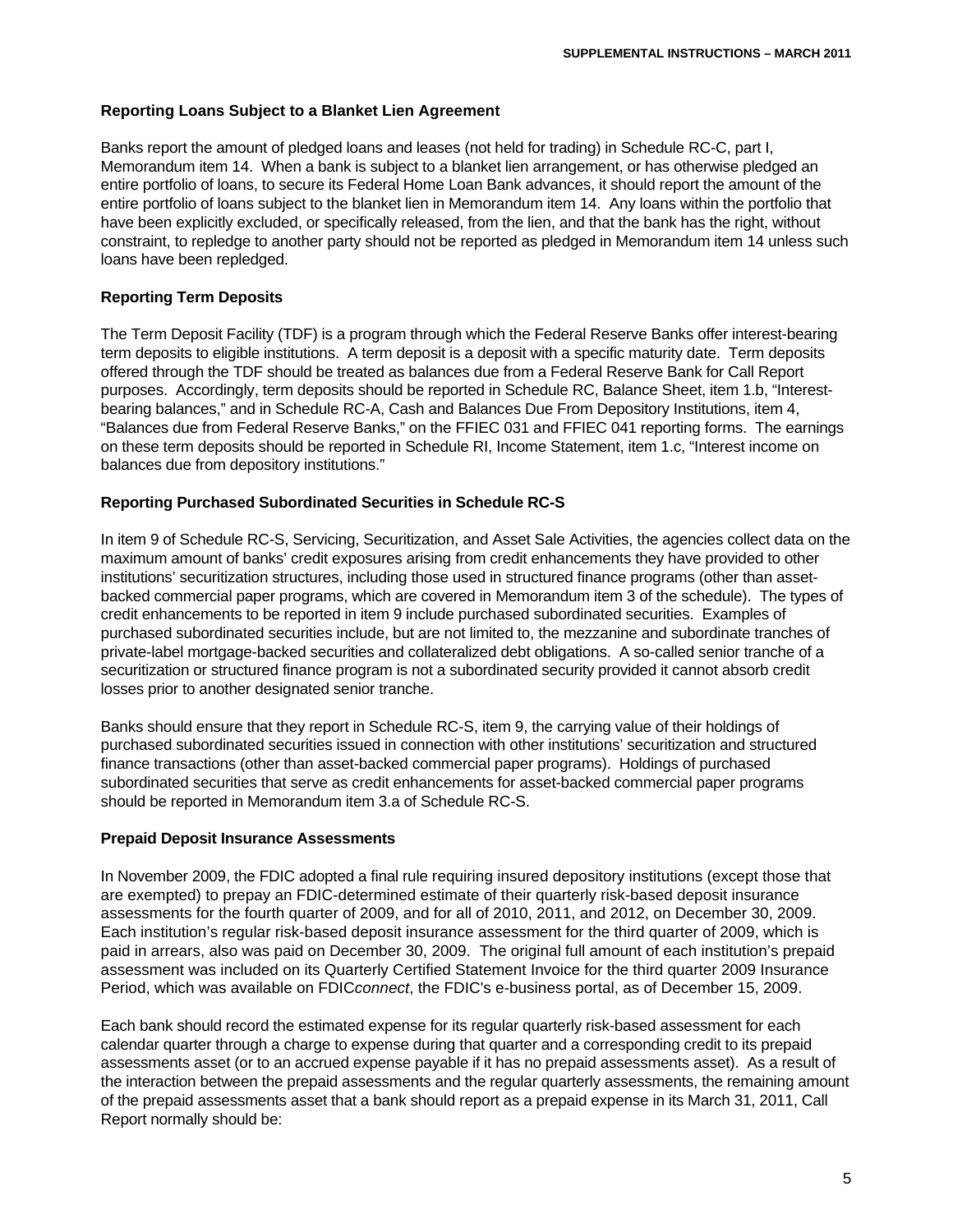## **Reporting Loans Subject to a Blanket Lien Agreement**

Banks report the amount of pledged loans and leases (not held for trading) in Schedule RC-C, part I, Memorandum item 14. When a bank is subject to a blanket lien arrangement, or has otherwise pledged an entire portfolio of loans, to secure its Federal Home Loan Bank advances, it should report the amount of the entire portfolio of loans subject to the blanket lien in Memorandum item 14. Any loans within the portfolio that have been explicitly excluded, or specifically released, from the lien, and that the bank has the right, without constraint, to repledge to another party should not be reported as pledged in Memorandum item 14 unless such loans have been repledged.

## **Reporting Term Deposits**

The Term Deposit Facility (TDF) is a program through which the Federal Reserve Banks offer interest-bearing term deposits to eligible institutions. A term deposit is a deposit with a specific maturity date. Term deposits offered through the TDF should be treated as balances due from a Federal Reserve Bank for Call Report purposes. Accordingly, term deposits should be reported in Schedule RC, Balance Sheet, item 1.b, "Interestbearing balances," and in Schedule RC-A, Cash and Balances Due From Depository Institutions, item 4, "Balances due from Federal Reserve Banks," on the FFIEC 031 and FFIEC 041 reporting forms. The earnings on these term deposits should be reported in Schedule RI, Income Statement, item 1.c, "Interest income on balances due from depository institutions."

#### **Reporting Purchased Subordinated Securities in Schedule RC-S**

In item 9 of Schedule RC-S, Servicing, Securitization, and Asset Sale Activities, the agencies collect data on the maximum amount of banks' credit exposures arising from credit enhancements they have provided to other institutions' securitization structures, including those used in structured finance programs (other than assetbacked commercial paper programs, which are covered in Memorandum item 3 of the schedule). The types of credit enhancements to be reported in item 9 include purchased subordinated securities. Examples of purchased subordinated securities include, but are not limited to, the mezzanine and subordinate tranches of private-label mortgage-backed securities and collateralized debt obligations. A so-called senior tranche of a securitization or structured finance program is not a subordinated security provided it cannot absorb credit losses prior to another designated senior tranche.

Banks should ensure that they report in Schedule RC-S, item 9, the carrying value of their holdings of purchased subordinated securities issued in connection with other institutions' securitization and structured finance transactions (other than asset-backed commercial paper programs). Holdings of purchased subordinated securities that serve as credit enhancements for asset-backed commercial paper programs should be reported in Memorandum item 3.a of Schedule RC-S.

#### **Prepaid Deposit Insurance Assessments**

In November 2009, the FDIC adopted a final rule requiring insured depository institutions (except those that are exempted) to prepay an FDIC-determined estimate of their quarterly risk-based deposit insurance assessments for the fourth quarter of 2009, and for all of 2010, 2011, and 2012, on December 30, 2009. Each institution's regular risk-based deposit insurance assessment for the third quarter of 2009, which is paid in arrears, also was paid on December 30, 2009. The original full amount of each institution's prepaid assessment was included on its Quarterly Certified Statement Invoice for the third quarter 2009 Insurance Period, which was available on FDIC*connect*, the FDIC's e-business portal, as of December 15, 2009.

Each bank should record the estimated expense for its regular quarterly risk-based assessment for each calendar quarter through a charge to expense during that quarter and a corresponding credit to its prepaid assessments asset (or to an accrued expense payable if it has no prepaid assessments asset). As a result of the interaction between the prepaid assessments and the regular quarterly assessments, the remaining amount of the prepaid assessments asset that a bank should report as a prepaid expense in its March 31, 2011, Call Report normally should be: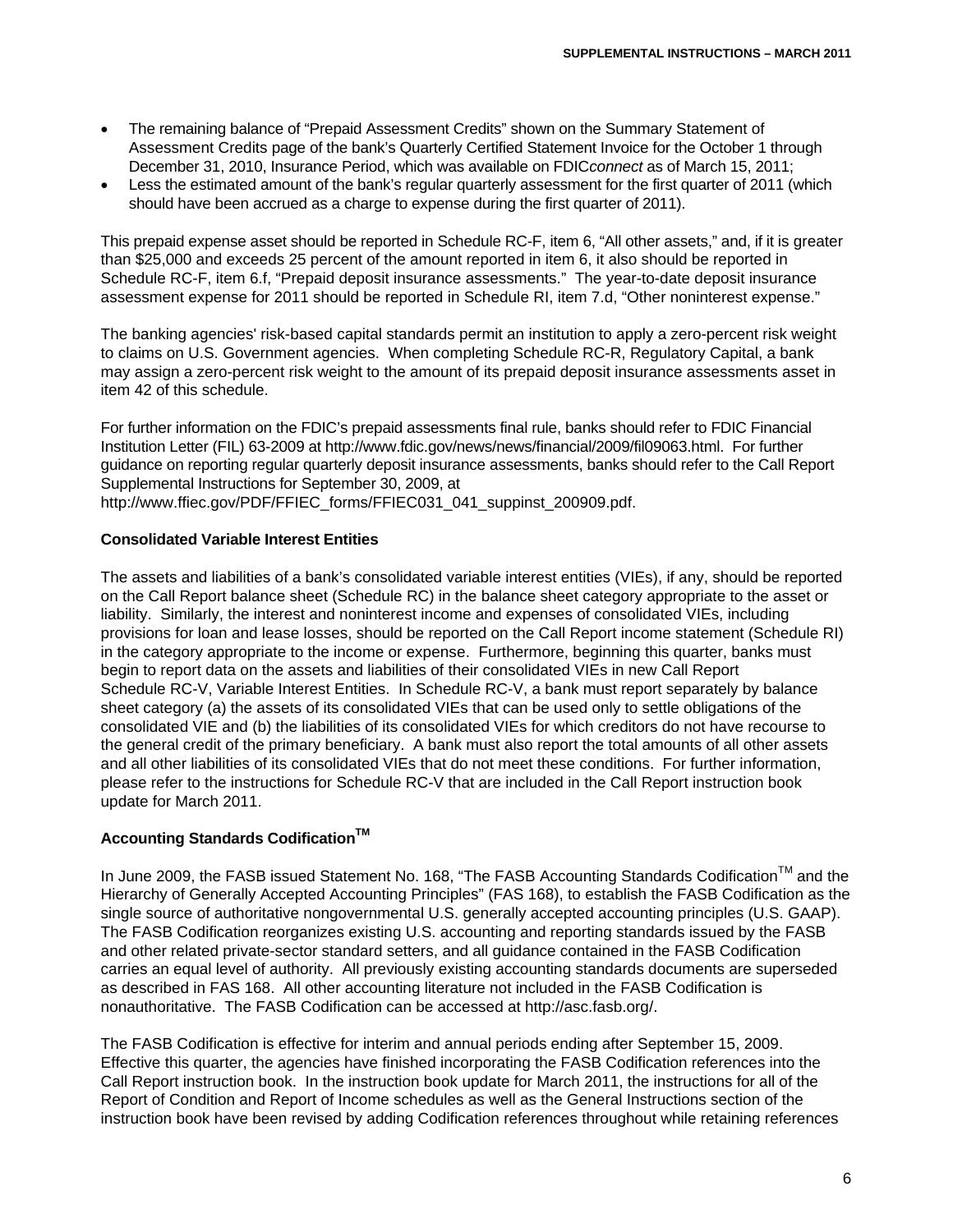- The remaining balance of "Prepaid Assessment Credits" shown on the Summary Statement of Assessment Credits page of the bank's Quarterly Certified Statement Invoice for the October 1 through December 31, 2010, Insurance Period, which was available on FDIC*connect* as of March 15, 2011;
- Less the estimated amount of the bank's regular quarterly assessment for the first quarter of 2011 (which should have been accrued as a charge to expense during the first quarter of 2011).

This prepaid expense asset should be reported in Schedule RC-F, item 6, "All other assets," and, if it is greater than \$25,000 and exceeds 25 percent of the amount reported in item 6, it also should be reported in Schedule RC-F, item 6.f, "Prepaid deposit insurance assessments." The year-to-date deposit insurance assessment expense for 2011 should be reported in Schedule RI, item 7.d, "Other noninterest expense."

The banking agencies' risk-based capital standards permit an institution to apply a zero-percent risk weight to claims on U.S. Government agencies. When completing Schedule RC-R, Regulatory Capital, a bank may assign a zero-percent risk weight to the amount of its prepaid deposit insurance assessments asset in item 42 of this schedule.

For further information on the FDIC's prepaid assessments final rule, banks should refer to FDIC Financial Institution Letter (FIL) 63-2009 at http://www.fdic.gov/news/news/financial/2009/fil09063.html. For further guidance on reporting regular quarterly deposit insurance assessments, banks should refer to the Call Report Supplemental Instructions for September 30, 2009, at

http://www.ffiec.gov/PDF/FFIEC\_forms/FFIEC031\_041\_suppinst\_200909.pdf.

## **Consolidated Variable Interest Entities**

The assets and liabilities of a bank's consolidated variable interest entities (VIEs), if any, should be reported on the Call Report balance sheet (Schedule RC) in the balance sheet category appropriate to the asset or liability. Similarly, the interest and noninterest income and expenses of consolidated VIEs, including provisions for loan and lease losses, should be reported on the Call Report income statement (Schedule RI) in the category appropriate to the income or expense. Furthermore, beginning this quarter, banks must begin to report data on the assets and liabilities of their consolidated VIEs in new Call Report Schedule RC-V, Variable Interest Entities. In Schedule RC-V, a bank must report separately by balance sheet category (a) the assets of its consolidated VIEs that can be used only to settle obligations of the consolidated VIE and (b) the liabilities of its consolidated VIEs for which creditors do not have recourse to the general credit of the primary beneficiary. A bank must also report the total amounts of all other assets and all other liabilities of its consolidated VIEs that do not meet these conditions. For further information, please refer to the instructions for Schedule RC-V that are included in the Call Report instruction book update for March 2011.

# **Accounting Standards Codification<sup>™</sup>**

In June 2009, the FASB issued Statement No. 168, "The FASB Accounting Standards Codification™ and the Hierarchy of Generally Accepted Accounting Principles" (FAS 168), to establish the FASB Codification as the single source of authoritative nongovernmental U.S. generally accepted accounting principles (U.S. GAAP). The FASB Codification reorganizes existing U.S. accounting and reporting standards issued by the FASB and other related private-sector standard setters, and all guidance contained in the FASB Codification carries an equal level of authority. All previously existing accounting standards documents are superseded as described in FAS 168. All other accounting literature not included in the FASB Codification is nonauthoritative. The FASB Codification can be accessed at http://asc.fasb.org/.

The FASB Codification is effective for interim and annual periods ending after September 15, 2009. Effective this quarter, the agencies have finished incorporating the FASB Codification references into the Call Report instruction book. In the instruction book update for March 2011, the instructions for all of the Report of Condition and Report of Income schedules as well as the General Instructions section of the instruction book have been revised by adding Codification references throughout while retaining references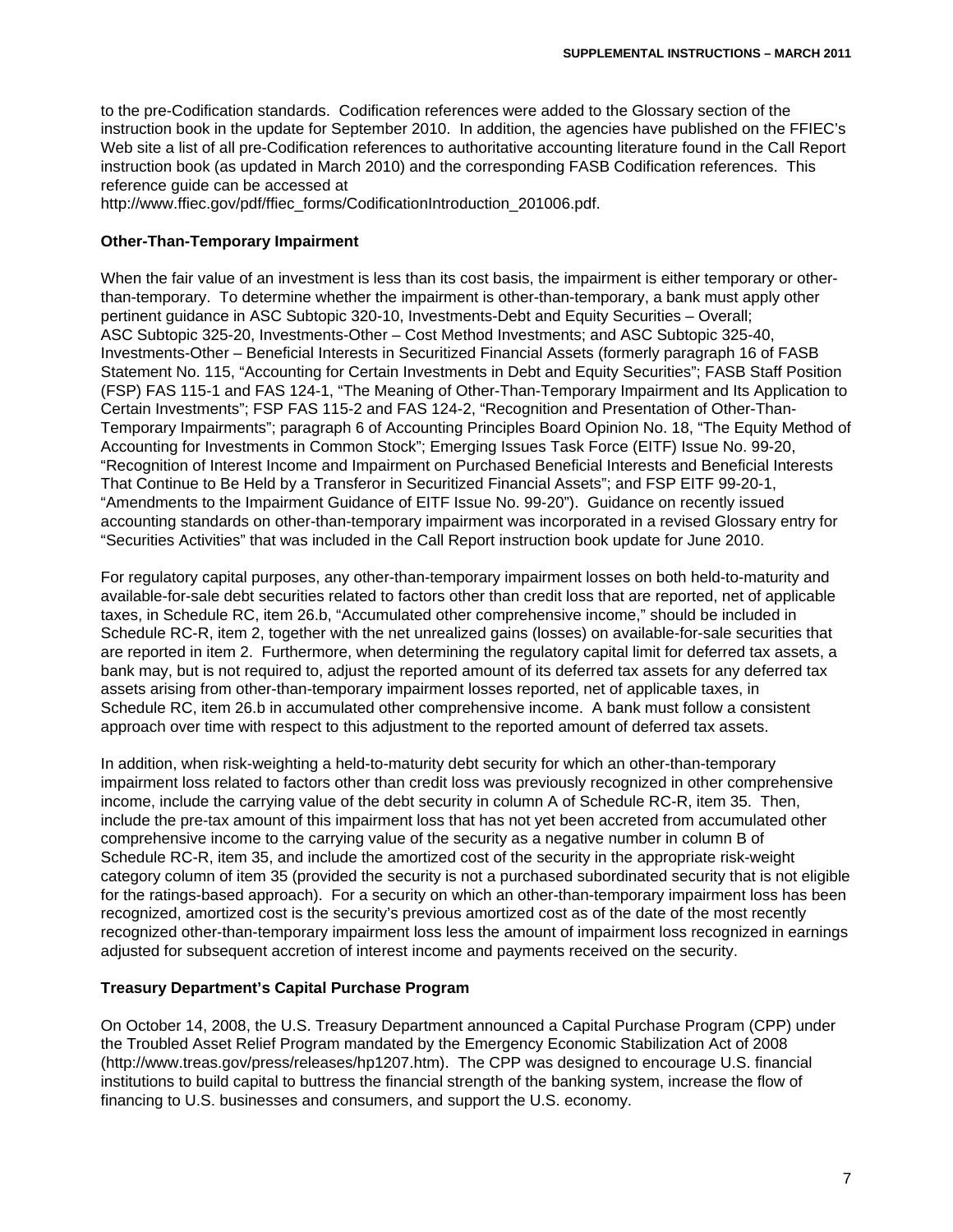to the pre-Codification standards. Codification references were added to the Glossary section of the instruction book in the update for September 2010. In addition, the agencies have published on the FFIEC's Web site a list of all pre-Codification references to authoritative accounting literature found in the Call Report instruction book (as updated in March 2010) and the corresponding FASB Codification references. This reference guide can be accessed at

http://www.ffiec.gov/pdf/ffiec\_forms/CodificationIntroduction\_201006.pdf.

#### **Other-Than-Temporary Impairment**

When the fair value of an investment is less than its cost basis, the impairment is either temporary or otherthan-temporary. To determine whether the impairment is other-than-temporary, a bank must apply other pertinent guidance in ASC Subtopic 320-10, Investments-Debt and Equity Securities – Overall; ASC Subtopic 325-20, Investments-Other – Cost Method Investments; and ASC Subtopic 325-40, Investments-Other – Beneficial Interests in Securitized Financial Assets (formerly paragraph 16 of FASB Statement No. 115, "Accounting for Certain Investments in Debt and Equity Securities"; FASB Staff Position (FSP) FAS 115-1 and FAS 124-1, "The Meaning of Other-Than-Temporary Impairment and Its Application to Certain Investments"; FSP FAS 115-2 and FAS 124-2, "Recognition and Presentation of Other-Than-Temporary Impairments"; paragraph 6 of Accounting Principles Board Opinion No. 18, "The Equity Method of Accounting for Investments in Common Stock"; Emerging Issues Task Force (EITF) Issue No. 99-20, "Recognition of Interest Income and Impairment on Purchased Beneficial Interests and Beneficial Interests That Continue to Be Held by a Transferor in Securitized Financial Assets"; and FSP EITF 99-20-1, "Amendments to the Impairment Guidance of EITF Issue No. 99-20"). Guidance on recently issued accounting standards on other-than-temporary impairment was incorporated in a revised Glossary entry for "Securities Activities" that was included in the Call Report instruction book update for June 2010.

For regulatory capital purposes, any other-than-temporary impairment losses on both held-to-maturity and available-for-sale debt securities related to factors other than credit loss that are reported, net of applicable taxes, in Schedule RC, item 26.b, "Accumulated other comprehensive income," should be included in Schedule RC-R, item 2, together with the net unrealized gains (losses) on available-for-sale securities that are reported in item 2. Furthermore, when determining the regulatory capital limit for deferred tax assets, a bank may, but is not required to, adjust the reported amount of its deferred tax assets for any deferred tax assets arising from other-than-temporary impairment losses reported, net of applicable taxes, in Schedule RC, item 26.b in accumulated other comprehensive income. A bank must follow a consistent approach over time with respect to this adjustment to the reported amount of deferred tax assets.

In addition, when risk-weighting a held-to-maturity debt security for which an other-than-temporary impairment loss related to factors other than credit loss was previously recognized in other comprehensive income, include the carrying value of the debt security in column A of Schedule RC-R, item 35. Then, include the pre-tax amount of this impairment loss that has not yet been accreted from accumulated other comprehensive income to the carrying value of the security as a negative number in column B of Schedule RC-R, item 35, and include the amortized cost of the security in the appropriate risk-weight category column of item 35 (provided the security is not a purchased subordinated security that is not eligible for the ratings-based approach). For a security on which an other-than-temporary impairment loss has been recognized, amortized cost is the security's previous amortized cost as of the date of the most recently recognized other-than-temporary impairment loss less the amount of impairment loss recognized in earnings adjusted for subsequent accretion of interest income and payments received on the security.

#### **Treasury Department's Capital Purchase Program**

On October 14, 2008, the U.S. Treasury Department announced a Capital Purchase Program (CPP) under the Troubled Asset Relief Program mandated by the Emergency Economic Stabilization Act of 2008 (http://www.treas.gov/press/releases/hp1207.htm). The CPP was designed to encourage U.S. financial institutions to build capital to buttress the financial strength of the banking system, increase the flow of financing to U.S. businesses and consumers, and support the U.S. economy.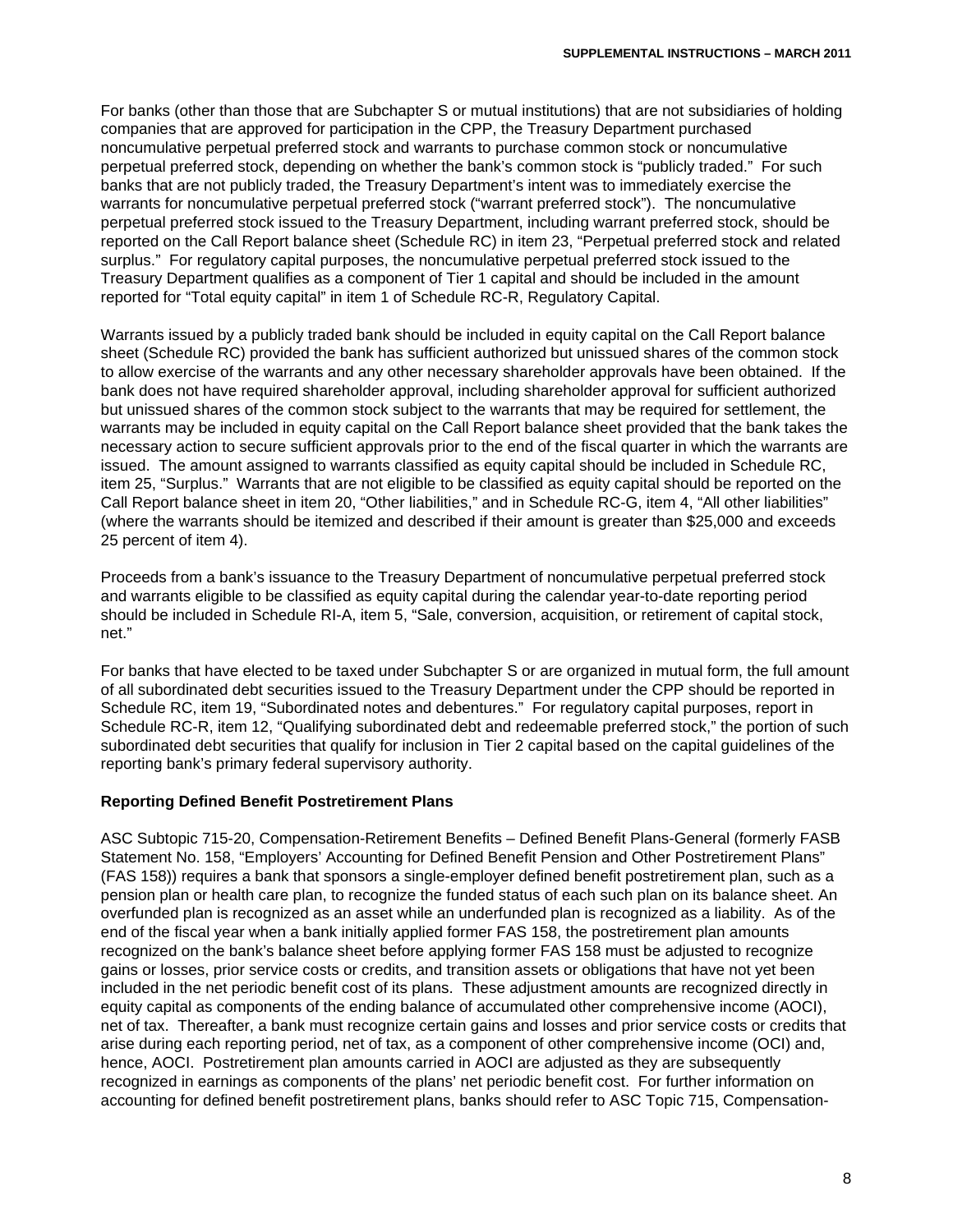For banks (other than those that are Subchapter S or mutual institutions) that are not subsidiaries of holding companies that are approved for participation in the CPP, the Treasury Department purchased noncumulative perpetual preferred stock and warrants to purchase common stock or noncumulative perpetual preferred stock, depending on whether the bank's common stock is "publicly traded." For such banks that are not publicly traded, the Treasury Department's intent was to immediately exercise the warrants for noncumulative perpetual preferred stock ("warrant preferred stock"). The noncumulative perpetual preferred stock issued to the Treasury Department, including warrant preferred stock, should be reported on the Call Report balance sheet (Schedule RC) in item 23, "Perpetual preferred stock and related surplus." For regulatory capital purposes, the noncumulative perpetual preferred stock issued to the Treasury Department qualifies as a component of Tier 1 capital and should be included in the amount reported for "Total equity capital" in item 1 of Schedule RC-R, Regulatory Capital.

Warrants issued by a publicly traded bank should be included in equity capital on the Call Report balance sheet (Schedule RC) provided the bank has sufficient authorized but unissued shares of the common stock to allow exercise of the warrants and any other necessary shareholder approvals have been obtained. If the bank does not have required shareholder approval, including shareholder approval for sufficient authorized but unissued shares of the common stock subject to the warrants that may be required for settlement, the warrants may be included in equity capital on the Call Report balance sheet provided that the bank takes the necessary action to secure sufficient approvals prior to the end of the fiscal quarter in which the warrants are issued. The amount assigned to warrants classified as equity capital should be included in Schedule RC, item 25, "Surplus." Warrants that are not eligible to be classified as equity capital should be reported on the Call Report balance sheet in item 20, "Other liabilities," and in Schedule RC-G, item 4, "All other liabilities" (where the warrants should be itemized and described if their amount is greater than \$25,000 and exceeds 25 percent of item 4).

Proceeds from a bank's issuance to the Treasury Department of noncumulative perpetual preferred stock and warrants eligible to be classified as equity capital during the calendar year-to-date reporting period should be included in Schedule RI-A, item 5, "Sale, conversion, acquisition, or retirement of capital stock, net."

For banks that have elected to be taxed under Subchapter S or are organized in mutual form, the full amount of all subordinated debt securities issued to the Treasury Department under the CPP should be reported in Schedule RC, item 19, "Subordinated notes and debentures." For regulatory capital purposes, report in Schedule RC-R, item 12, "Qualifying subordinated debt and redeemable preferred stock," the portion of such subordinated debt securities that qualify for inclusion in Tier 2 capital based on the capital guidelines of the reporting bank's primary federal supervisory authority.

#### **Reporting Defined Benefit Postretirement Plans**

ASC Subtopic 715-20, Compensation-Retirement Benefits – Defined Benefit Plans-General (formerly FASB Statement No. 158, "Employers' Accounting for Defined Benefit Pension and Other Postretirement Plans" (FAS 158)) requires a bank that sponsors a single-employer defined benefit postretirement plan, such as a pension plan or health care plan, to recognize the funded status of each such plan on its balance sheet. An overfunded plan is recognized as an asset while an underfunded plan is recognized as a liability. As of the end of the fiscal year when a bank initially applied former FAS 158, the postretirement plan amounts recognized on the bank's balance sheet before applying former FAS 158 must be adjusted to recognize gains or losses, prior service costs or credits, and transition assets or obligations that have not yet been included in the net periodic benefit cost of its plans. These adjustment amounts are recognized directly in equity capital as components of the ending balance of accumulated other comprehensive income (AOCI), net of tax. Thereafter, a bank must recognize certain gains and losses and prior service costs or credits that arise during each reporting period, net of tax, as a component of other comprehensive income (OCI) and, hence, AOCI. Postretirement plan amounts carried in AOCI are adjusted as they are subsequently recognized in earnings as components of the plans' net periodic benefit cost. For further information on accounting for defined benefit postretirement plans, banks should refer to ASC Topic 715, Compensation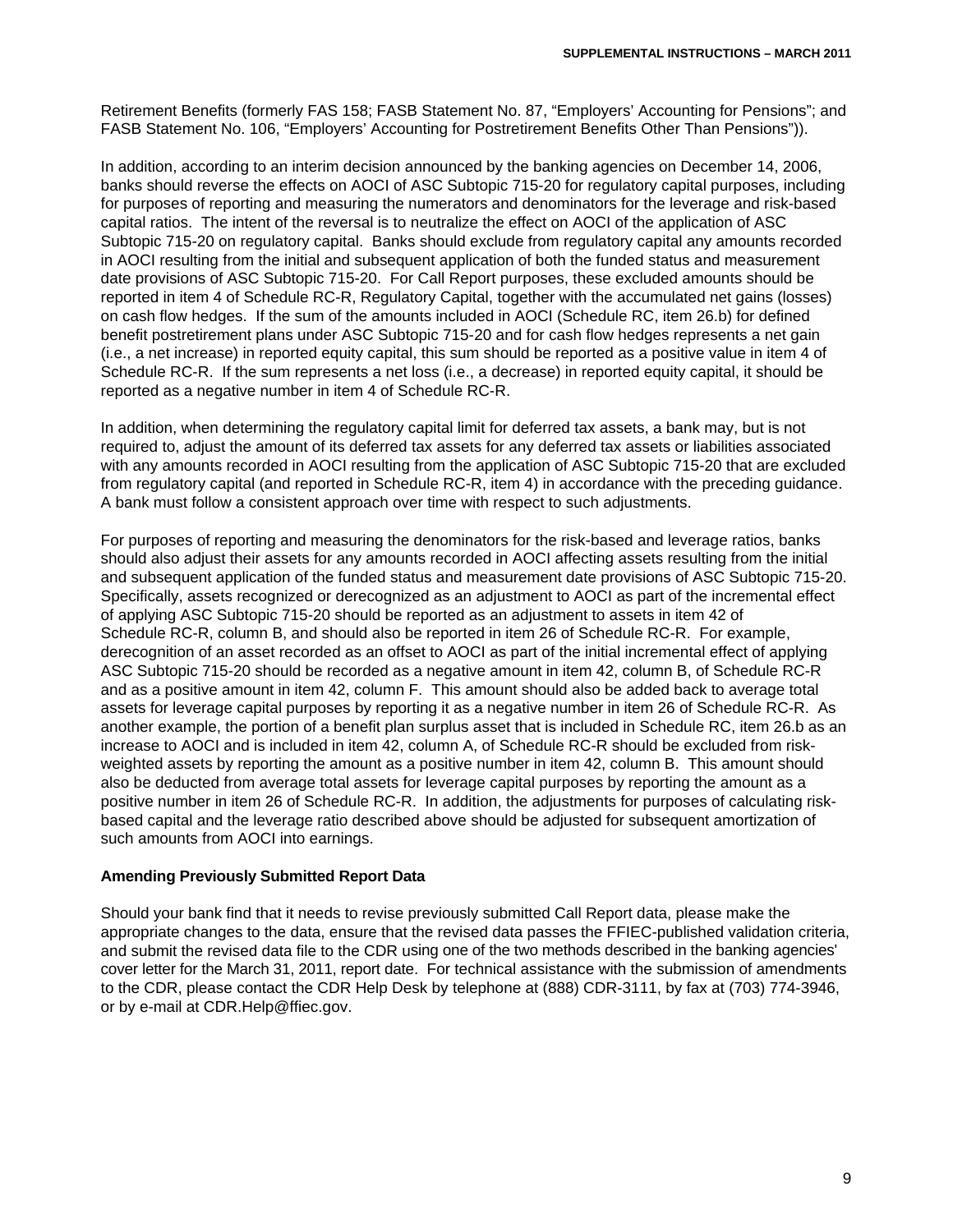Retirement Benefits (formerly FAS 158; FASB Statement No. 87, "Employers' Accounting for Pensions"; and FASB Statement No. 106, "Employers' Accounting for Postretirement Benefits Other Than Pensions")).

In addition, according to an interim decision announced by the banking agencies on December 14, 2006, banks should reverse the effects on AOCI of ASC Subtopic 715-20 for regulatory capital purposes, including for purposes of reporting and measuring the numerators and denominators for the leverage and risk-based capital ratios. The intent of the reversal is to neutralize the effect on AOCI of the application of ASC Subtopic 715-20 on regulatory capital. Banks should exclude from regulatory capital any amounts recorded in AOCI resulting from the initial and subsequent application of both the funded status and measurement date provisions of ASC Subtopic 715-20. For Call Report purposes, these excluded amounts should be reported in item 4 of Schedule RC-R, Regulatory Capital, together with the accumulated net gains (losses) on cash flow hedges. If the sum of the amounts included in AOCI (Schedule RC, item 26.b) for defined benefit postretirement plans under ASC Subtopic 715-20 and for cash flow hedges represents a net gain (i.e., a net increase) in reported equity capital, this sum should be reported as a positive value in item 4 of Schedule RC-R. If the sum represents a net loss (i.e., a decrease) in reported equity capital, it should be reported as a negative number in item 4 of Schedule RC-R.

In addition, when determining the regulatory capital limit for deferred tax assets, a bank may, but is not required to, adjust the amount of its deferred tax assets for any deferred tax assets or liabilities associated with any amounts recorded in AOCI resulting from the application of ASC Subtopic 715-20 that are excluded from regulatory capital (and reported in Schedule RC-R, item 4) in accordance with the preceding guidance. A bank must follow a consistent approach over time with respect to such adjustments.

For purposes of reporting and measuring the denominators for the risk-based and leverage ratios, banks should also adjust their assets for any amounts recorded in AOCI affecting assets resulting from the initial and subsequent application of the funded status and measurement date provisions of ASC Subtopic 715-20. Specifically, assets recognized or derecognized as an adjustment to AOCI as part of the incremental effect of applying ASC Subtopic 715-20 should be reported as an adjustment to assets in item 42 of Schedule RC-R, column B, and should also be reported in item 26 of Schedule RC-R. For example, derecognition of an asset recorded as an offset to AOCI as part of the initial incremental effect of applying ASC Subtopic 715-20 should be recorded as a negative amount in item 42, column B, of Schedule RC-R and as a positive amount in item 42, column F. This amount should also be added back to average total assets for leverage capital purposes by reporting it as a negative number in item 26 of Schedule RC-R. As another example, the portion of a benefit plan surplus asset that is included in Schedule RC, item 26.b as an increase to AOCI and is included in item 42, column A, of Schedule RC-R should be excluded from riskweighted assets by reporting the amount as a positive number in item 42, column B. This amount should also be deducted from average total assets for leverage capital purposes by reporting the amount as a positive number in item 26 of Schedule RC-R. In addition, the adjustments for purposes of calculating riskbased capital and the leverage ratio described above should be adjusted for subsequent amortization of such amounts from AOCI into earnings.

#### **Amending Previously Submitted Report Data**

Should your bank find that it needs to revise previously submitted Call Report data, please make the appropriate changes to the data, ensure that the revised data passes the FFIEC-published validation criteria, and submit the revised data file to the CDR using one of the two methods described in the banking agencies' cover letter for the March 31, 2011, report date. For technical assistance with the submission of amendments to the CDR, please contact the CDR Help Desk by telephone at (888) CDR-3111, by fax at (703) 774-3946, or by e-mail at CDR.Help@ffiec.gov.